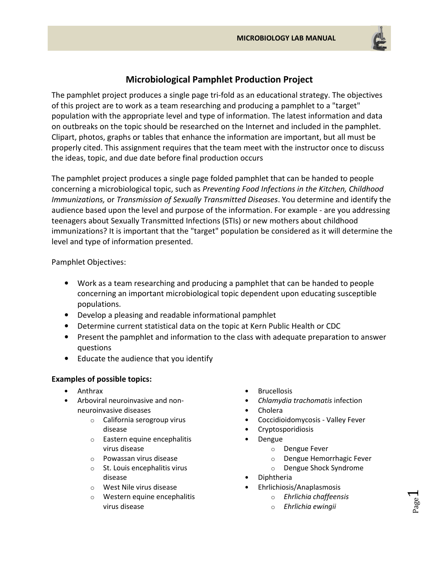

## Microbiological Pamphlet Production Project

The pamphlet project produces a single page tri-fold as an educational strategy. The objectives of this project are to work as a team researching and producing a pamphlet to a "target" population with the appropriate level and type of information. The latest information and data on outbreaks on the topic should be researched on the Internet and included in the pamphlet. Clipart, photos, graphs or tables that enhance the information are important, but all must be properly cited. This assignment requires that the team meet with the instructor once to discuss the ideas, topic, and due date before final production occurs

The pamphlet project produces a single page folded pamphlet that can be handed to people concerning a microbiological topic, such as Preventing Food Infections in the Kitchen, Childhood Immunizations, or Transmission of Sexually Transmitted Diseases. You determine and identify the audience based upon the level and purpose of the information. For example - are you addressing teenagers about Sexually Transmitted Infections (STIs) or new mothers about childhood immunizations? It is important that the "target" population be considered as it will determine the level and type of information presented.

Pamphlet Objectives:

- Work as a team researching and producing a pamphlet that can be handed to people concerning an important microbiological topic dependent upon educating susceptible populations.
- Develop a pleasing and readable informational pamphlet
- Determine current statistical data on the topic at Kern Public Health or CDC
- Present the pamphlet and information to the class with adequate preparation to answer questions
- Educate the audience that you identify

## Examples of possible topics:

- Anthrax
- Arboviral neuroinvasive and nonneuroinvasive diseases
	- o California serogroup virus disease
	- o Eastern equine encephalitis virus disease
	- o Powassan virus disease
	- o St. Louis encephalitis virus disease
	- o West Nile virus disease
	- o Western equine encephalitis virus disease
- Brucellosis
- Chlamydia trachomatis infection
- Cholera
- Coccidioidomycosis Valley Fever
- Cryptosporidiosis
- Dengue
	- o Dengue Fever
	- o Dengue Hemorrhagic Fever
	- o Dengue Shock Syndrome
- Diphtheria
- Ehrlichiosis/Anaplasmosis
	- o Ehrlichia chaffeensis
	- o Ehrlichia ewingii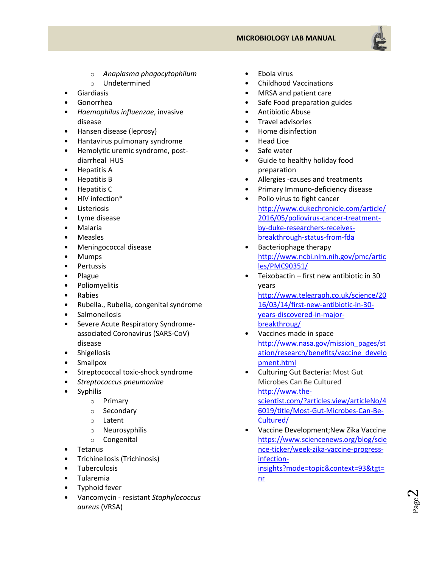## MICROBIOLOGY LAB MANUAL



- o Anaplasma phagocytophilum
- o Undetermined
- **Giardiasis**
- Gonorrhea
- Haemophilus influenzae, invasive disease
- Hansen disease (leprosy)
- Hantavirus pulmonary syndrome
- Hemolytic uremic syndrome, postdiarrheal HUS
- Hepatitis A
- Hepatitis B
- Hepatitis C
- HIV infection\*
- **Listeriosis**
- Lyme disease
- Malaria
- Measles
- Meningococcal disease
- Mumps
- Pertussis
- Plague
- Poliomyelitis
- Rabies
- Rubella., Rubella, congenital syndrome
- **Salmonellosis**
- Severe Acute Respiratory Syndromeassociated Coronavirus (SARS-CoV) disease
- Shigellosis
- Smallpox
- Streptococcal toxic-shock syndrome
- Streptococcus pneumoniae
- Syphilis
	- o Primary
	- o Secondary
	- o Latent
	- o Neurosyphilis
	- o Congenital
- Tetanus
- Trichinellosis (Trichinosis)
- Tuberculosis
- Tularemia
- Typhoid fever
- Vancomycin resistant Staphylococcus aureus (VRSA)
- Ebola virus
- Childhood Vaccinations
- MRSA and patient care
- Safe Food preparation guides
- Antibiotic Abuse
- Travel advisories
- Home disinfection
- Head Lice
- Safe water
- Guide to healthy holiday food preparation
- Allergies -causes and treatments
- Primary Immuno-deficiency disease
- Polio virus to fight cancer http://www.dukechronicle.com/article/ 2016/05/poliovirus-cancer-treatmentby-duke-researchers-receivesbreakthrough-status-from-fda
- Bacteriophage therapy http://www.ncbi.nlm.nih.gov/pmc/artic les/PMC90351/
- Teixobactin first new antibiotic in 30 years http://www.telegraph.co.uk/science/20 16/03/14/first-new-antibiotic-in-30 years-discovered-in-majorbreakthroug/
- Vaccines made in space http://www.nasa.gov/mission\_pages/st ation/research/benefits/vaccine\_develo pment.html
- Culturing Gut Bacteria: Most Gut Microbes Can Be Cultured http://www.thescientist.com/?articles.view/articleNo/4 6019/title/Most-Gut-Microbes-Can-Be-Cultured/
- Vaccine Development;New Zika Vaccine https://www.sciencenews.org/blog/scie nce-ticker/week-zika-vaccine-progressinfectioninsights?mode=topic&context=93&tgt= nr